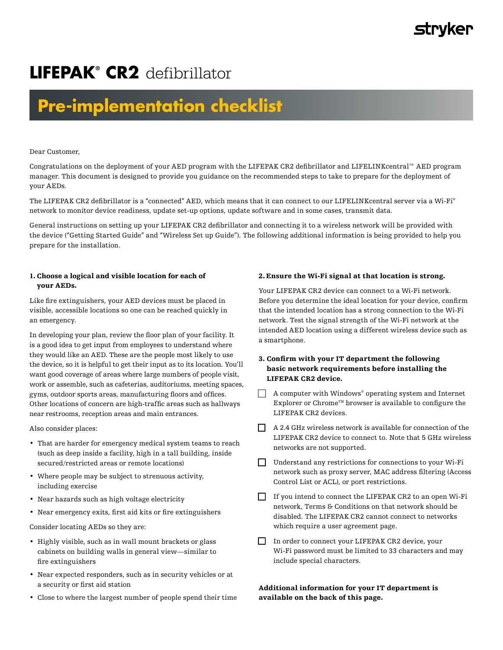# **LIFEPAK® CR2** defibrillator

# **Pre-implementation checklist**

Dear Customer,

Congratulations on the deployment of your AED program with the LIFEPAK CR2 defibrillator and LIFELINKcentral™ AED program manager. This document is designed to provide you guidance on the recommended steps to take to prepare for the deployment of your AEDs.

The LIFEPAK CR2 defibrillator is a "connected" AED, which means that it can connect to our LIFELINKcentral server via a Wi-Fi® network to monitor device readiness, update set-up options, update software and in some cases, transmit data.

General instructions on setting up your LIFEPAK CR2 defibrillator and connecting it to a wireless network will be provided with the device ("Getting Started Guide" and "Wireless Set up Guide"). The following additional information is being provided to help you prepare for the installation.

# 1. Choose a logical and visible location for each of your AEDs.

Like fire extinguishers, your AED devices must be placed in visible, accessible locations so one can be reached quickly in an emergency.

In developing your plan, review the floor plan of your facility. It is a good idea to get input from employees to understand where they would like an AED. These are the people most likely to use the device, so it is helpful to get their input as to its location. You'll want good coverage of areas where large numbers of people visit, work or assemble, such as cafeterias, auditoriums, meeting spaces, gyms, outdoor sports areas, manufacturing floors and offices. Other locations of concern are high-traffic areas such as hallways near restrooms, reception areas and main entrances.

Also consider places:

- That are harder for emergency medical system teams to reach (such as deep inside a facility, high in a tall building, inside secured/restricted areas or remote locations)
- Where people may be subject to strenuous activity, including exercise
- Near hazards such as high voltage electricity
- Near emergency exits, first aid kits or fire extinguishers

Consider locating AEDs so they are:

- Highly visible, such as in wall mount brackets or glass cabinets on building walls in general view—similar to fire extinguishers
- Near expected responders, such as in security vehicles or at a security or first aid station
- Close to where the largest number of people spend their time

# 2. Ensure the Wi-Fi signal at that location is strong.

Your LIFEPAK CR2 device can connect to a Wi-Fi network. Before you determine the ideal location for your device, confirm that the intended location has a strong connection to the Wi-Fi network. Test the signal strength of the Wi-Fi network at the intended AED location using a different wireless device such as a smartphone.

# 3. Confirm with your IT department the following basic network requirements before installing the LIFEPAK CR2 device.

- A computer with Windows® operating system and Internet Explorer or  $Chrome^{TM}$  browser is available to configure the LIFEPAK CR2 devices.
- $\Box$  A 2.4 GHz wireless network is available for connection of the LIFEPAK CR2 device to connect to. Note that 5 GHz wireless networks are not supported.
- Understand any restrictions for connections to your Wi-Fi network such as proxy server, MAC address filtering (Access Control List or ACL), or port restrictions.
- If you intend to connect the LIFEPAK CR2 to an open Wi-Fi network, Terms & Conditions on that network should be disabled. The LIFEPAK CR2 cannot connect to networks which require a user agreement page.
- In order to connect your LIFEPAK CR2 device, your Wi-Fi password must be limited to 33 characters and may include special characters.

Additional information for your IT department is available on the back of this page.